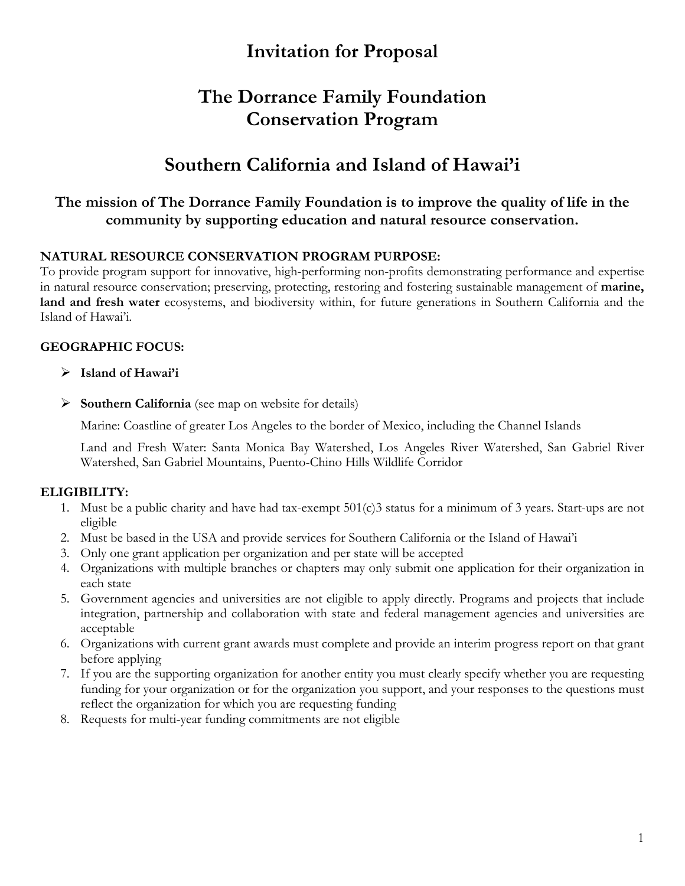# **Invitation for Proposal**

# **The Dorrance Family Foundation Conservation Program**

# **Southern California and Island of Hawai'i**

# **The mission of The Dorrance Family Foundation is to improve the quality of life in the community by supporting education and natural resource conservation.**

## **NATURAL RESOURCE CONSERVATION PROGRAM PURPOSE:**

To provide program support for innovative, high-performing non-profits demonstrating performance and expertise in natural resource conservation; preserving, protecting, restoring and fostering sustainable management of **marine, land and fresh water** ecosystems, and biodiversity within, for future generations in Southern California and the Island of Hawai'i.

## **GEOGRAPHIC FOCUS:**

- Ø **Island of Hawai'i**
- Ø **Southern California** (see map on website for details)

Marine: Coastline of greater Los Angeles to the border of Mexico, including the Channel Islands

Land and Fresh Water: Santa Monica Bay Watershed, Los Angeles River Watershed, San Gabriel River Watershed, San Gabriel Mountains, Puento-Chino Hills Wildlife Corridor

## **ELIGIBILITY:**

- 1. Must be a public charity and have had tax-exempt 501(c)3 status for a minimum of 3 years. Start-ups are not eligible
- 2. Must be based in the USA and provide services for Southern California or the Island of Hawai'i
- 3. Only one grant application per organization and per state will be accepted
- 4. Organizations with multiple branches or chapters may only submit one application for their organization in each state
- 5. Government agencies and universities are not eligible to apply directly. Programs and projects that include integration, partnership and collaboration with state and federal management agencies and universities are acceptable
- 6. Organizations with current grant awards must complete and provide an interim progress report on that grant before applying
- 7. If you are the supporting organization for another entity you must clearly specify whether you are requesting funding for your organization or for the organization you support, and your responses to the questions must reflect the organization for which you are requesting funding
- 8. Requests for multi-year funding commitments are not eligible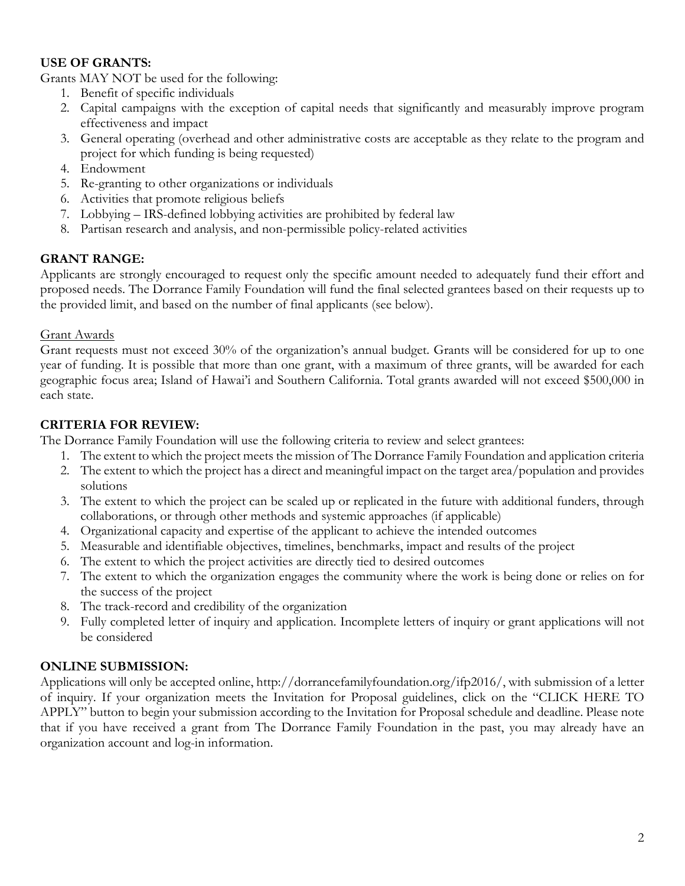## **USE OF GRANTS:**

Grants MAY NOT be used for the following:

- 1. Benefit of specific individuals
- 2. Capital campaigns with the exception of capital needs that significantly and measurably improve program effectiveness and impact
- 3. General operating (overhead and other administrative costs are acceptable as they relate to the program and project for which funding is being requested)
- 4. Endowment
- 5. Re-granting to other organizations or individuals
- 6. Activities that promote religious beliefs
- 7. Lobbying IRS-defined lobbying activities are prohibited by federal law
- 8. Partisan research and analysis, and non-permissible policy-related activities

## **GRANT RANGE:**

Applicants are strongly encouraged to request only the specific amount needed to adequately fund their effort and proposed needs. The Dorrance Family Foundation will fund the final selected grantees based on their requests up to the provided limit, and based on the number of final applicants (see below).

#### Grant Awards

Grant requests must not exceed 30% of the organization's annual budget. Grants will be considered for up to one year of funding. It is possible that more than one grant, with a maximum of three grants, will be awarded for each geographic focus area; Island of Hawai'i and Southern California. Total grants awarded will not exceed \$500,000 in each state.

## **CRITERIA FOR REVIEW:**

The Dorrance Family Foundation will use the following criteria to review and select grantees:

- 1. The extent to which the project meets the mission of The Dorrance Family Foundation and application criteria
- 2. The extent to which the project has a direct and meaningful impact on the target area/population and provides solutions
- 3. The extent to which the project can be scaled up or replicated in the future with additional funders, through collaborations, or through other methods and systemic approaches (if applicable)
- 4. Organizational capacity and expertise of the applicant to achieve the intended outcomes
- 5. Measurable and identifiable objectives, timelines, benchmarks, impact and results of the project
- 6. The extent to which the project activities are directly tied to desired outcomes
- 7. The extent to which the organization engages the community where the work is being done or relies on for the success of the project
- 8. The track-record and credibility of the organization
- 9. Fully completed letter of inquiry and application. Incomplete letters of inquiry or grant applications will not be considered

## **ONLINE SUBMISSION:**

Applications will only be accepted online, http://dorrancefamilyfoundation.org/ifp2016/, with submission of a letter of inquiry. If your organization meets the Invitation for Proposal guidelines, click on the "CLICK HERE TO APPLY" button to begin your submission according to the Invitation for Proposal schedule and deadline. Please note that if you have received a grant from The Dorrance Family Foundation in the past, you may already have an organization account and log-in information.